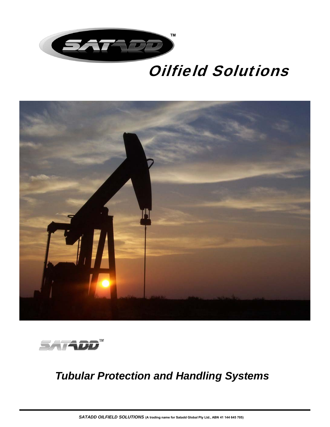

# Oilfield Solutions





# *Tubular Protection and Handling Systems*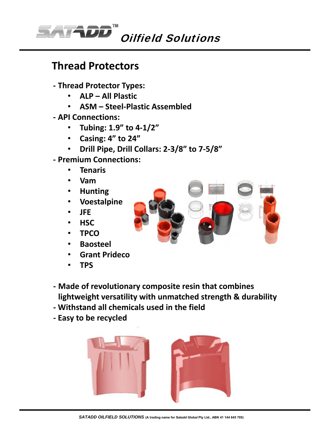

#### **Thread Protectors**

- **‐ Thread Protector Types:**
	- **ALP All Plastic**
	- **ASM Steel‐Plastic Assembled**
- **‐ API Connections:**
	- **Tubing: 1.9" to 4‐1/2"**
	- **Casing: 4" to 24"**
	- **Drill Pipe, Drill Collars: 2‐3/8" to 7‐5/8"**
- **‐ Premium Connections:**
	- **Tenaris**
	- **Vam**
	- **Hunting**
	- **Voestalpine**
	- **JFE**
	- **HSC**
	- **TPCO**
	- **Baosteel**
	- **Grant Prideco**
	- **TPS**



- **‐ Made of revolutionary composite resin that combines lightweight versatility with unmatched strength & durability**
- **‐ Withstand all chemicals used in the field**
- **‐ Easy to be recycled**

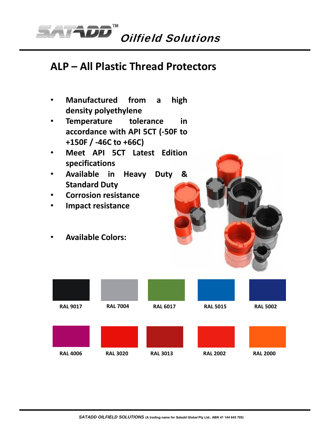

## **ALP – All Plastic Thread Protectors**

- **Manufactured from a high density polyethylene**
- **Temperature tolerance in accordance with API 5CT (‐50F to +150F / ‐46C to +66C)**
- **Meet API 5CT Latest Edition specifications**
- **Available in Heavy Duty & Standard Duty**
- **Corrosion resistance**
- **Impact resistance**
- **Available Colors:**

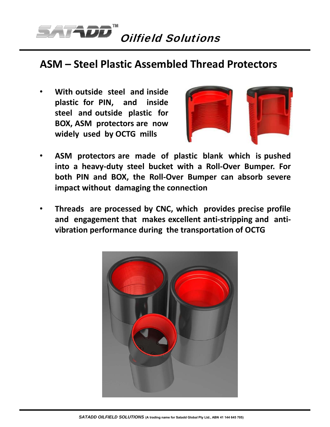

#### **ASM – Steel Plastic Assembled Thread Protectors**

• **With outside steel and inside plastic for PIN, and inside steel and outside plastic for BOX, ASM protectors are now widely used by OCTG mills**



- **ASM protectors are made of plastic blank which is pushed into a heavy‐duty steel bucket with a Roll‐Over Bumper. For both PIN and BOX, the Roll‐Over Bumper can absorb severe impact without damaging the connection**
- **Threads are processed by CNC, which provides precise profile and engagement that makes excellent anti‐stripping and anti‐ vibration performance during the transportation of OCTG**

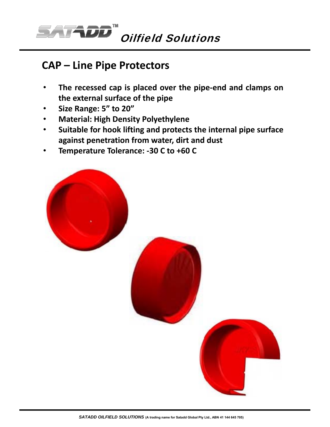

#### **CAP – Line Pipe Protectors**

- **The recessed cap is placed over the pipe‐end and clamps on the external surface of the pipe**
- **Size Range: 5" to 20"**
- **Material: High Density Polyethylene**
- **Suitable for hook lifting and protects the internal pipe surface against penetration from water, dirt and dust**
- **Temperature Tolerance: ‐30 C to +60 C**

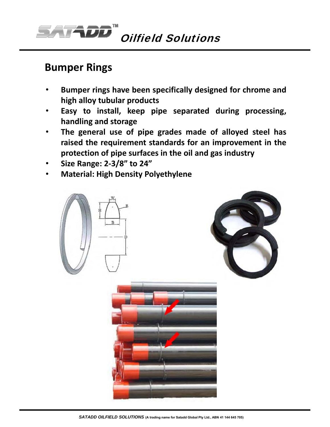

#### **Bumper Rings**

- **Bumper rings have been specifically designed for chrome and high alloy tubular products**
- **Easy to install, keep pipe separated during processing, handling and storage**
- **The general use of pipe grades made of alloyed steel has raised the requirement standards for an improvement in the protection of pipe surfaces in the oil and gas industry**
- **Size Range: 2‐3/8" to 24"**
- **Material: High Density Polyethylene**





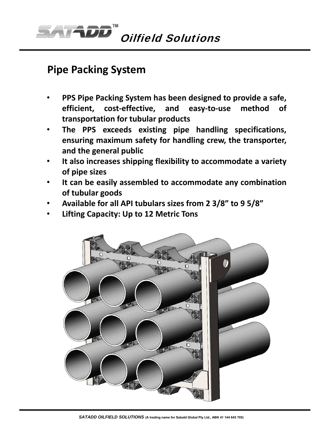

### **Pipe Packing System**

- **PPS Pipe Packing System has been designed to provide a safe, efficient, cost‐effective, and easy‐to‐use method of transportation for tubular products**
- **The PPS exceeds existing pipe handling specifications, ensuring maximum safety for handling crew, the transporter, and the general public**
- **It also increases shipping flexibility to accommodate a variety of pipe sizes**
- **It can be easily assembled to accommodate any combination of tubular goods**
- **Available for all API tubulars sizes from 2 3/8" to 9 5/8"**
- **Lifting Capacity: Up to 12 Metric Tons**

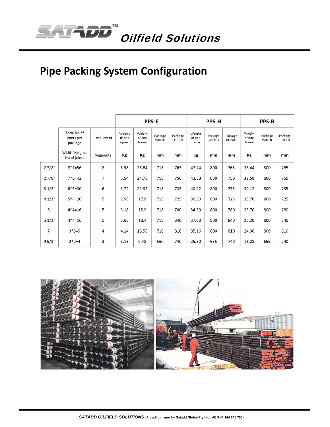

# **Pipe Packing System Configuration**

|       |                                      |                    | <b>PPS-E</b>                |                           |                         |                          | <b>PPS-H</b>              |                         |                          | <b>PPS-R</b>              |                         |                          |
|-------|--------------------------------------|--------------------|-----------------------------|---------------------------|-------------------------|--------------------------|---------------------------|-------------------------|--------------------------|---------------------------|-------------------------|--------------------------|
|       | Total No of<br>joints per<br>package | <b>Total No of</b> | Weight<br>of one<br>segment | Weight<br>of one<br>frame | Package<br><b>WIDTH</b> | Package<br><b>HEIGHT</b> | Weight<br>of one<br>frame | Package<br><b>WIDTH</b> | Package<br><b>HEIGHT</b> | Weight<br>of one<br>frame | Package<br><b>WIDTH</b> | Package<br><b>HEIGHT</b> |
|       | Width*Height=<br>No of joints        | Segments           | Kg                          | Kg                        | mm                      | mm                       | Kg                        | mm                      | mm                       | Kg                        | mm                      | mm                       |
| 23/8" | $8*7=56$                             | 8                  | 3.58                        | 28.64                     | 718                     | 765                      | 47.24                     | 800                     | 765                      | 36.44                     | 800                     | 765                      |
| 27/8" | $7*6=42$                             | 7                  | 3.54                        | 24.78                     | 718                     | 750                      | 43.38                     | 800                     | 750                      | 32.58                     | 800                     | 750                      |
| 31/2" | $6*5=30$                             | 6                  | 3.72                        | 22.32                     | 718                     | 735                      | 40.92                     | 800                     | 735                      | 30.12                     | 800                     | 735                      |
| 41/2" | $5*4=20$                             | 5                  | 3.58                        | 17.9                      | 718                     | 725                      | 36.50                     | 800                     | 725                      | 25.70                     | 800                     | 725                      |
| 5"    | $4*4=16$                             | 5                  | 3.18                        | 15.9                      | 718                     | 780                      | 34.50                     | 800                     | 780                      | 23.70                     | 800                     | 780                      |
| 51/2" | $4*4=16$                             | 5                  | 3.68                        | 18.4                      | 718                     | 840                      | 37.00                     | 800                     | 840                      | 26.20                     | 800                     | 840                      |
| 7"    | $3*3=9$                              | 4                  | 4.14                        | 16.56                     | 718                     | 810                      | 35.16                     | 800                     | 810                      | 24.36                     | 800                     | 810                      |
| 95/8" | $2*2=4$                              | 3                  | 3.16                        | 9.48                      | 560                     | 740                      | 25.50                     | 655                     | 740                      | 16.28                     | 655                     | 740                      |